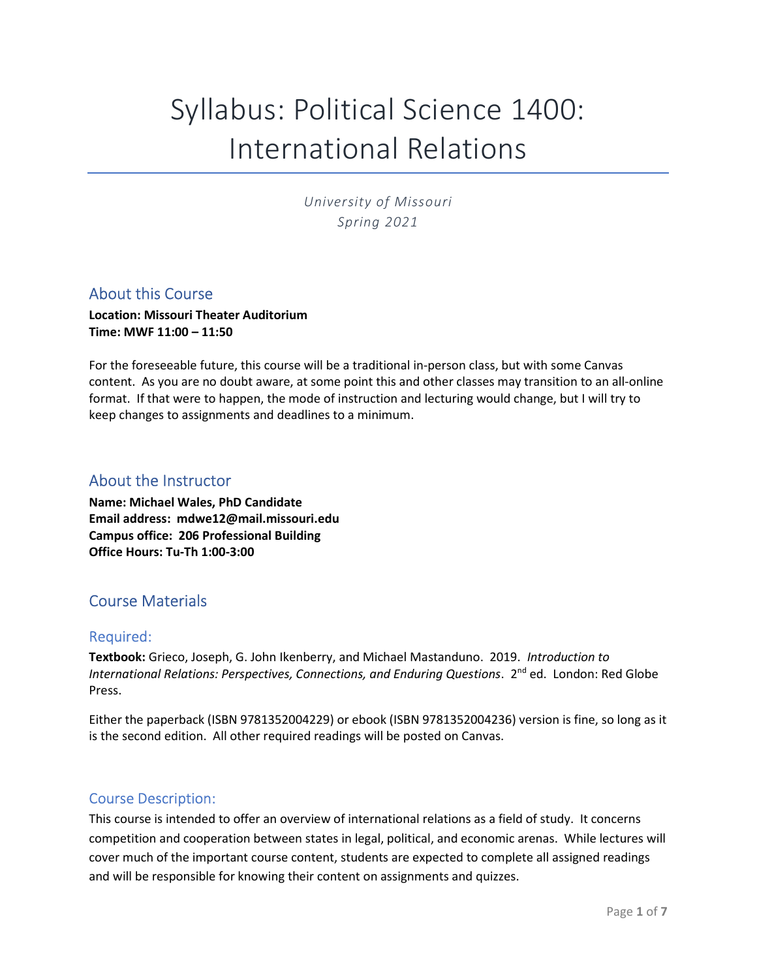# Syllabus: Political Science 1400: International Relations

University of Missouri Spring 2021

## About this Course

Location: Missouri Theater Auditorium Time: MWF 11:00 – 11:50

For the foreseeable future, this course will be a traditional in-person class, but with some Canvas content. As you are no doubt aware, at some point this and other classes may transition to an all-online format. If that were to happen, the mode of instruction and lecturing would change, but I will try to keep changes to assignments and deadlines to a minimum.

## About the Instructor

Name: Michael Wales, PhD Candidate Email address: mdwe12@mail.missouri.edu Campus office: 206 Professional Building Office Hours: Tu-Th 1:00-3:00

# Course Materials

### Required:

Textbook: Grieco, Joseph, G. John Ikenberry, and Michael Mastanduno. 2019. Introduction to International Relations: Perspectives, Connections, and Enduring Questions. 2<sup>nd</sup> ed. London: Red Globe Press.

Either the paperback (ISBN 9781352004229) or ebook (ISBN 9781352004236) version is fine, so long as it is the second edition. All other required readings will be posted on Canvas.

### Course Description:

This course is intended to offer an overview of international relations as a field of study. It concerns competition and cooperation between states in legal, political, and economic arenas. While lectures will cover much of the important course content, students are expected to complete all assigned readings and will be responsible for knowing their content on assignments and quizzes.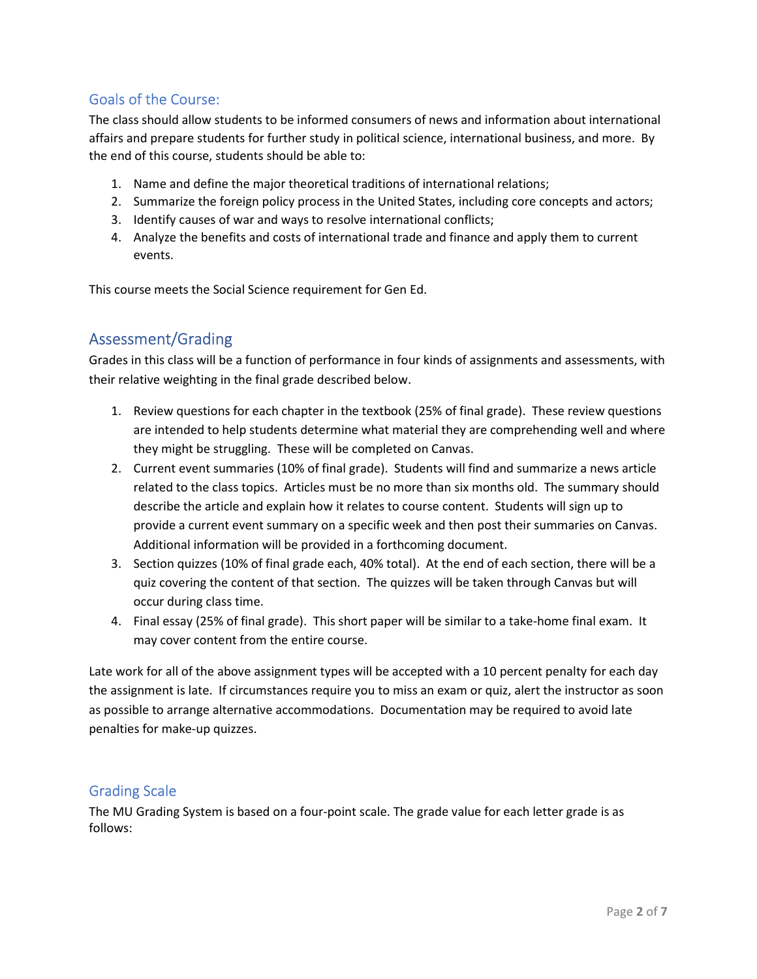## Goals of the Course:

The class should allow students to be informed consumers of news and information about international affairs and prepare students for further study in political science, international business, and more. By the end of this course, students should be able to:

- 1. Name and define the major theoretical traditions of international relations;
- 2. Summarize the foreign policy process in the United States, including core concepts and actors;
- 3. Identify causes of war and ways to resolve international conflicts;
- 4. Analyze the benefits and costs of international trade and finance and apply them to current events.

This course meets the Social Science requirement for Gen Ed.

# Assessment/Grading

Grades in this class will be a function of performance in four kinds of assignments and assessments, with their relative weighting in the final grade described below.

- 1. Review questions for each chapter in the textbook (25% of final grade). These review questions are intended to help students determine what material they are comprehending well and where they might be struggling. These will be completed on Canvas.
- 2. Current event summaries (10% of final grade). Students will find and summarize a news article related to the class topics. Articles must be no more than six months old. The summary should describe the article and explain how it relates to course content. Students will sign up to provide a current event summary on a specific week and then post their summaries on Canvas. Additional information will be provided in a forthcoming document.
- 3. Section quizzes (10% of final grade each, 40% total). At the end of each section, there will be a quiz covering the content of that section. The quizzes will be taken through Canvas but will occur during class time.
- 4. Final essay (25% of final grade). This short paper will be similar to a take-home final exam. It may cover content from the entire course.

Late work for all of the above assignment types will be accepted with a 10 percent penalty for each day the assignment is late. If circumstances require you to miss an exam or quiz, alert the instructor as soon as possible to arrange alternative accommodations. Documentation may be required to avoid late penalties for make-up quizzes.

## Grading Scale

The MU Grading System is based on a four-point scale. The grade value for each letter grade is as follows: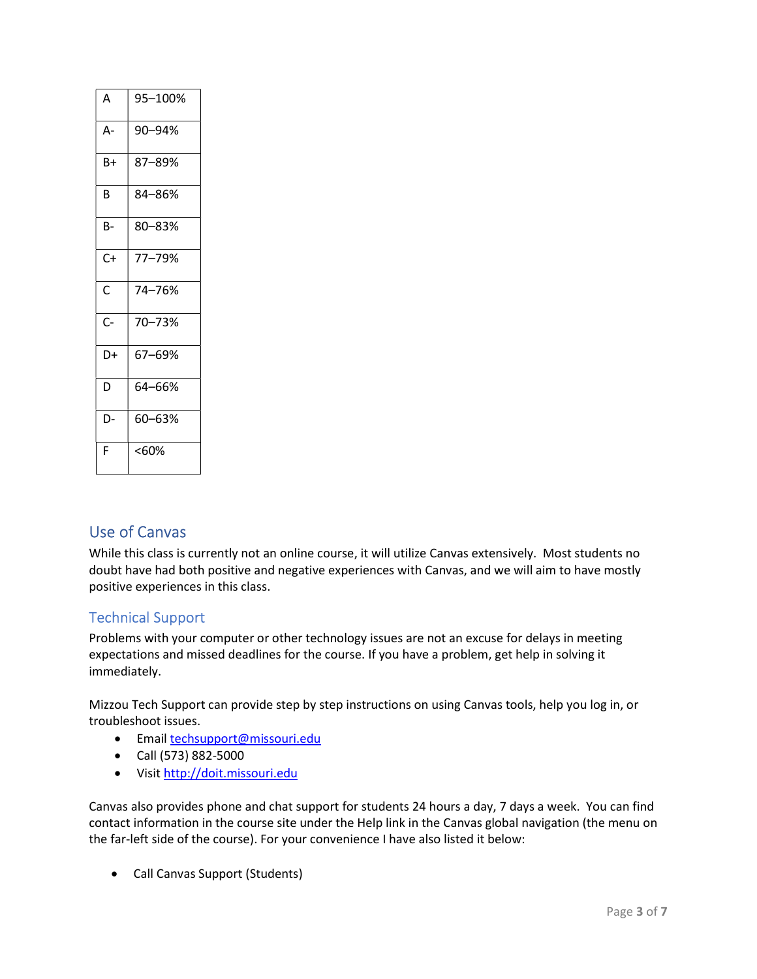| Α    | 95–100% |
|------|---------|
| А-   | 90-94%  |
| B+   | 87-89%  |
| B    | 84-86%  |
| в-   | 80-83%  |
| $C+$ | 77-79%  |
| Ċ    | 74-76%  |
| $C-$ | 70-73%  |
| D+   | 67-69%  |
| D    | 64-66%  |
| D-   | 60-63%  |
| F    | <60%    |

# Use of Canvas

While this class is currently not an online course, it will utilize Canvas extensively. Most students no doubt have had both positive and negative experiences with Canvas, and we will aim to have mostly positive experiences in this class.

## Technical Support

Problems with your computer or other technology issues are not an excuse for delays in meeting expectations and missed deadlines for the course. If you have a problem, get help in solving it immediately.

Mizzou Tech Support can provide step by step instructions on using Canvas tools, help you log in, or troubleshoot issues.

- Email techsupport@missouri.edu
- Call (573) 882-5000
- Visit http://doit.missouri.edu

Canvas also provides phone and chat support for students 24 hours a day, 7 days a week. You can find contact information in the course site under the Help link in the Canvas global navigation (the menu on the far-left side of the course). For your convenience I have also listed it below:

Call Canvas Support (Students)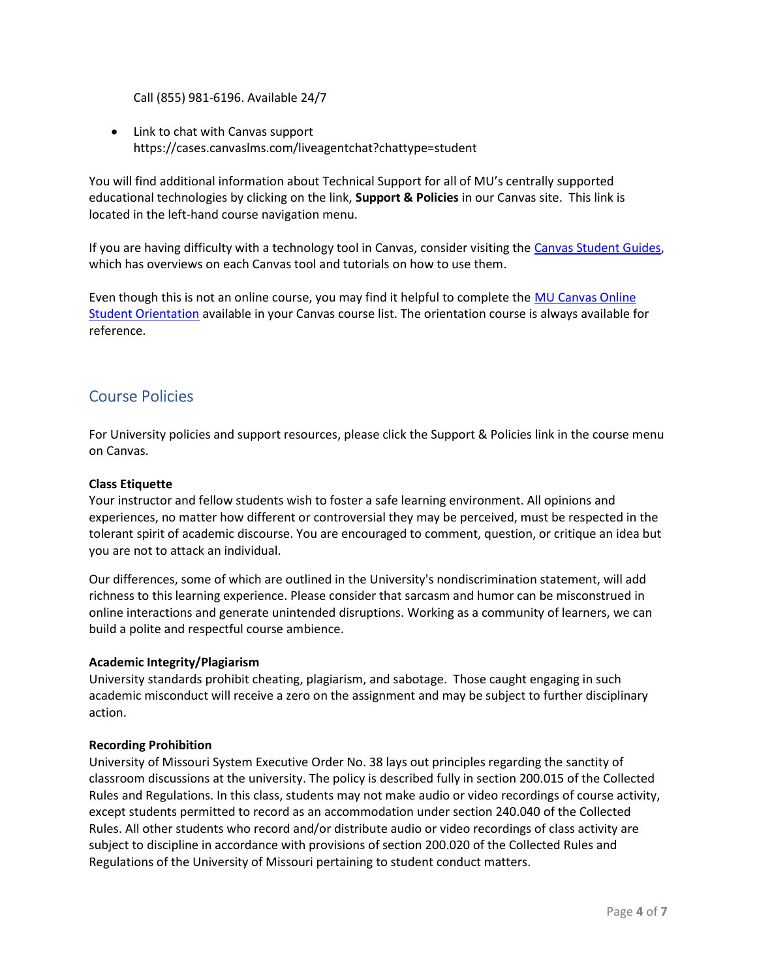Call (855) 981-6196. Available 24/7

• Link to chat with Canvas support https://cases.canvaslms.com/liveagentchat?chattype=student

You will find additional information about Technical Support for all of MU's centrally supported educational technologies by clicking on the link, Support & Policies in our Canvas site. This link is located in the left-hand course navigation menu.

If you are having difficulty with a technology tool in Canvas, consider visiting the Canvas Student Guides, which has overviews on each Canvas tool and tutorials on how to use them.

Even though this is not an online course, you may find it helpful to complete the MU Canvas Online Student Orientation available in your Canvas course list. The orientation course is always available for reference.

## Course Policies

For University policies and support resources, please click the Support & Policies link in the course menu on Canvas.

#### Class Etiquette

Your instructor and fellow students wish to foster a safe learning environment. All opinions and experiences, no matter how different or controversial they may be perceived, must be respected in the tolerant spirit of academic discourse. You are encouraged to comment, question, or critique an idea but you are not to attack an individual.

Our differences, some of which are outlined in the University's nondiscrimination statement, will add richness to this learning experience. Please consider that sarcasm and humor can be misconstrued in online interactions and generate unintended disruptions. Working as a community of learners, we can build a polite and respectful course ambience.

#### Academic Integrity/Plagiarism

University standards prohibit cheating, plagiarism, and sabotage. Those caught engaging in such academic misconduct will receive a zero on the assignment and may be subject to further disciplinary action.

#### Recording Prohibition

University of Missouri System Executive Order No. 38 lays out principles regarding the sanctity of classroom discussions at the university. The policy is described fully in section 200.015 of the Collected Rules and Regulations. In this class, students may not make audio or video recordings of course activity, except students permitted to record as an accommodation under section 240.040 of the Collected Rules. All other students who record and/or distribute audio or video recordings of class activity are subject to discipline in accordance with provisions of section 200.020 of the Collected Rules and Regulations of the University of Missouri pertaining to student conduct matters.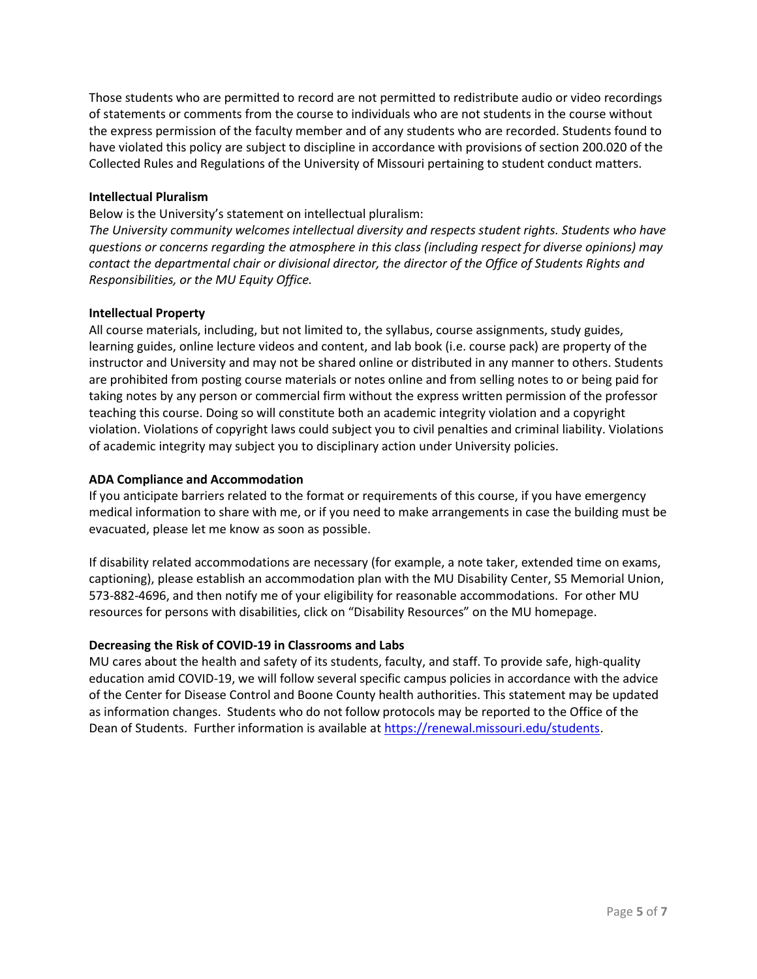Those students who are permitted to record are not permitted to redistribute audio or video recordings of statements or comments from the course to individuals who are not students in the course without the express permission of the faculty member and of any students who are recorded. Students found to have violated this policy are subject to discipline in accordance with provisions of section 200.020 of the Collected Rules and Regulations of the University of Missouri pertaining to student conduct matters.

#### Intellectual Pluralism

Below is the University's statement on intellectual pluralism:

The University community welcomes intellectual diversity and respects student rights. Students who have questions or concerns regarding the atmosphere in this class (including respect for diverse opinions) may contact the departmental chair or divisional director, the director of the Office of Students Rights and Responsibilities, or the MU Equity Office.

#### Intellectual Property

All course materials, including, but not limited to, the syllabus, course assignments, study guides, learning guides, online lecture videos and content, and lab book (i.e. course pack) are property of the instructor and University and may not be shared online or distributed in any manner to others. Students are prohibited from posting course materials or notes online and from selling notes to or being paid for taking notes by any person or commercial firm without the express written permission of the professor teaching this course. Doing so will constitute both an academic integrity violation and a copyright violation. Violations of copyright laws could subject you to civil penalties and criminal liability. Violations of academic integrity may subject you to disciplinary action under University policies.

#### ADA Compliance and Accommodation

If you anticipate barriers related to the format or requirements of this course, if you have emergency medical information to share with me, or if you need to make arrangements in case the building must be evacuated, please let me know as soon as possible.

If disability related accommodations are necessary (for example, a note taker, extended time on exams, captioning), please establish an accommodation plan with the MU Disability Center, S5 Memorial Union, 573-882-4696, and then notify me of your eligibility for reasonable accommodations. For other MU resources for persons with disabilities, click on "Disability Resources" on the MU homepage.

#### Decreasing the Risk of COVID-19 in Classrooms and Labs

MU cares about the health and safety of its students, faculty, and staff. To provide safe, high-quality education amid COVID-19, we will follow several specific campus policies in accordance with the advice of the Center for Disease Control and Boone County health authorities. This statement may be updated as information changes. Students who do not follow protocols may be reported to the Office of the Dean of Students. Further information is available at https://renewal.missouri.edu/students.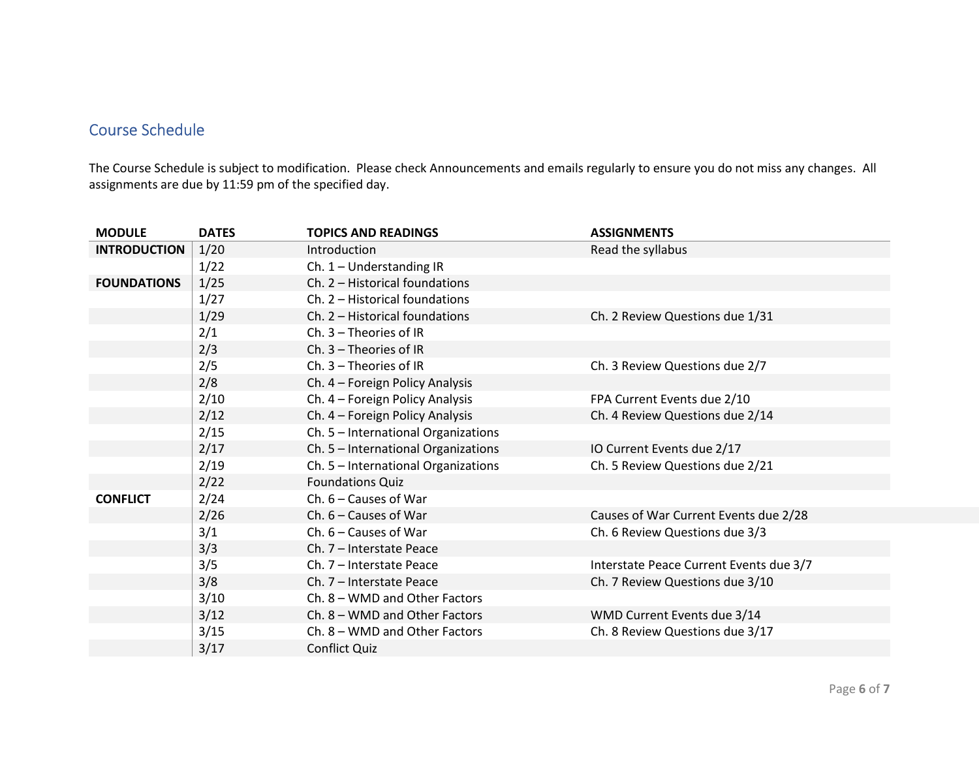# Course Schedule

The Course Schedule is subject to modification. Please check Announcements and emails regularly to ensure you do not miss any changes. All assignments are due by 11:59 pm of the specified day.

| <b>MODULE</b>       | <b>DATES</b> | <b>TOPICS AND READINGS</b>          | <b>ASSIGNMENTS</b>                      |
|---------------------|--------------|-------------------------------------|-----------------------------------------|
| <b>INTRODUCTION</b> | 1/20         | Introduction                        | Read the syllabus                       |
|                     | 1/22         | Ch. 1 - Understanding IR            |                                         |
| <b>FOUNDATIONS</b>  | 1/25         | Ch. 2 - Historical foundations      |                                         |
|                     | 1/27         | Ch. 2 - Historical foundations      |                                         |
|                     | 1/29         | Ch. 2 - Historical foundations      | Ch. 2 Review Questions due 1/31         |
|                     | 2/1          | Ch. 3 - Theories of IR              |                                         |
|                     | 2/3          | Ch. $3$ – Theories of IR            |                                         |
|                     | 2/5          | Ch. 3 - Theories of IR              | Ch. 3 Review Questions due 2/7          |
|                     | 2/8          | Ch. 4 - Foreign Policy Analysis     |                                         |
|                     | 2/10         | Ch. 4 - Foreign Policy Analysis     | FPA Current Events due 2/10             |
|                     | 2/12         | Ch. 4 - Foreign Policy Analysis     | Ch. 4 Review Questions due 2/14         |
|                     | 2/15         | Ch. 5 - International Organizations |                                         |
|                     | 2/17         | Ch. 5 - International Organizations | IO Current Events due 2/17              |
|                     | 2/19         | Ch. 5 - International Organizations | Ch. 5 Review Questions due 2/21         |
|                     | 2/22         | <b>Foundations Quiz</b>             |                                         |
| <b>CONFLICT</b>     | 2/24         | Ch. $6$ – Causes of War             |                                         |
|                     | 2/26         | Ch. $6 -$ Causes of War             | Causes of War Current Events due 2/28   |
|                     | 3/1          | Ch. $6$ – Causes of War             | Ch. 6 Review Questions due 3/3          |
|                     | 3/3          | Ch. 7 - Interstate Peace            |                                         |
|                     | 3/5          | Ch. 7 - Interstate Peace            | Interstate Peace Current Events due 3/7 |
|                     | 3/8          | Ch. 7 - Interstate Peace            | Ch. 7 Review Questions due 3/10         |
|                     | 3/10         | Ch. 8 – WMD and Other Factors       |                                         |
|                     | 3/12         | Ch. 8 - WMD and Other Factors       | WMD Current Events due 3/14             |
|                     | 3/15         | Ch. 8 - WMD and Other Factors       | Ch. 8 Review Questions due 3/17         |
|                     | 3/17         | <b>Conflict Quiz</b>                |                                         |